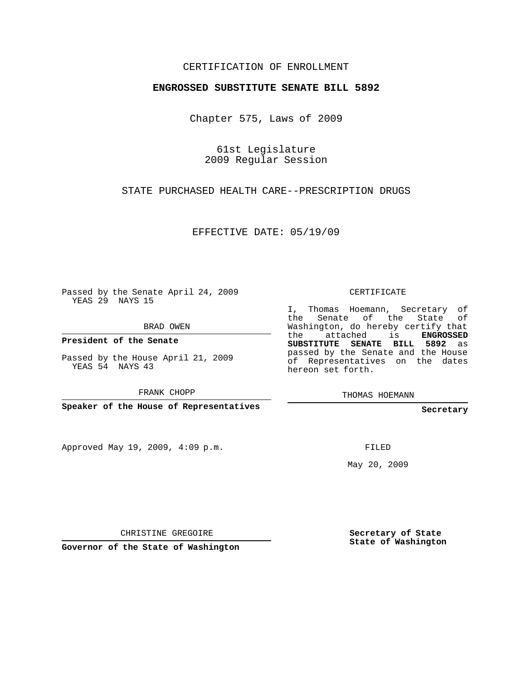## CERTIFICATION OF ENROLLMENT

## **ENGROSSED SUBSTITUTE SENATE BILL 5892**

Chapter 575, Laws of 2009

61st Legislature 2009 Regular Session

STATE PURCHASED HEALTH CARE--PRESCRIPTION DRUGS

EFFECTIVE DATE: 05/19/09

Passed by the Senate April 24, 2009 YEAS 29 NAYS 15

BRAD OWEN

**President of the Senate**

Passed by the House April 21, 2009 YEAS 54 NAYS 43

FRANK CHOPP

**Speaker of the House of Representatives**

Approved May 19, 2009, 4:09 p.m.

CERTIFICATE

I, Thomas Hoemann, Secretary of the Senate of the State of Washington, do hereby certify that the attached is **ENGROSSED SUBSTITUTE SENATE BILL 5892** as passed by the Senate and the House of Representatives on the dates hereon set forth.

THOMAS HOEMANN

**Secretary**

FILED

May 20, 2009

CHRISTINE GREGOIRE

**Governor of the State of Washington**

**Secretary of State State of Washington**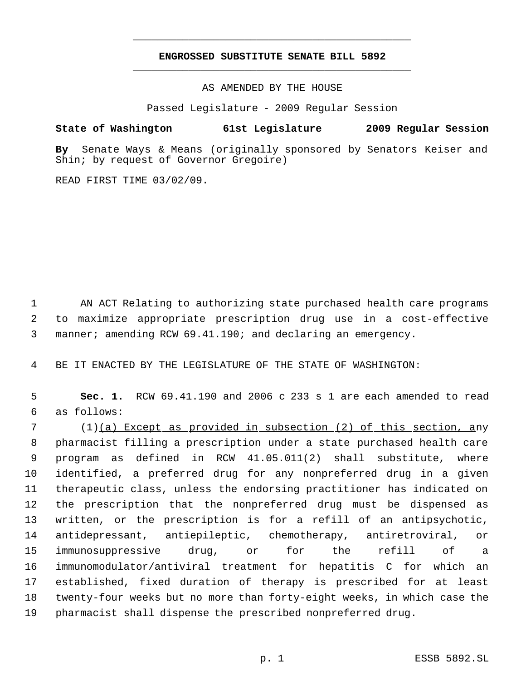## **ENGROSSED SUBSTITUTE SENATE BILL 5892** \_\_\_\_\_\_\_\_\_\_\_\_\_\_\_\_\_\_\_\_\_\_\_\_\_\_\_\_\_\_\_\_\_\_\_\_\_\_\_\_\_\_\_\_\_

\_\_\_\_\_\_\_\_\_\_\_\_\_\_\_\_\_\_\_\_\_\_\_\_\_\_\_\_\_\_\_\_\_\_\_\_\_\_\_\_\_\_\_\_\_

AS AMENDED BY THE HOUSE

Passed Legislature - 2009 Regular Session

## **State of Washington 61st Legislature 2009 Regular Session**

**By** Senate Ways & Means (originally sponsored by Senators Keiser and Shin; by request of Governor Gregoire)

READ FIRST TIME 03/02/09.

 AN ACT Relating to authorizing state purchased health care programs to maximize appropriate prescription drug use in a cost-effective manner; amending RCW 69.41.190; and declaring an emergency.

BE IT ENACTED BY THE LEGISLATURE OF THE STATE OF WASHINGTON:

 **Sec. 1.** RCW 69.41.190 and 2006 c 233 s 1 are each amended to read as follows:

 (1)(a) Except as provided in subsection (2) of this section, any pharmacist filling a prescription under a state purchased health care program as defined in RCW 41.05.011(2) shall substitute, where identified, a preferred drug for any nonpreferred drug in a given therapeutic class, unless the endorsing practitioner has indicated on the prescription that the nonpreferred drug must be dispensed as written, or the prescription is for a refill of an antipsychotic, 14 antidepressant, antiepileptic, chemotherapy, antiretroviral, or immunosuppressive drug, or for the refill of a immunomodulator/antiviral treatment for hepatitis C for which an established, fixed duration of therapy is prescribed for at least twenty-four weeks but no more than forty-eight weeks, in which case the pharmacist shall dispense the prescribed nonpreferred drug.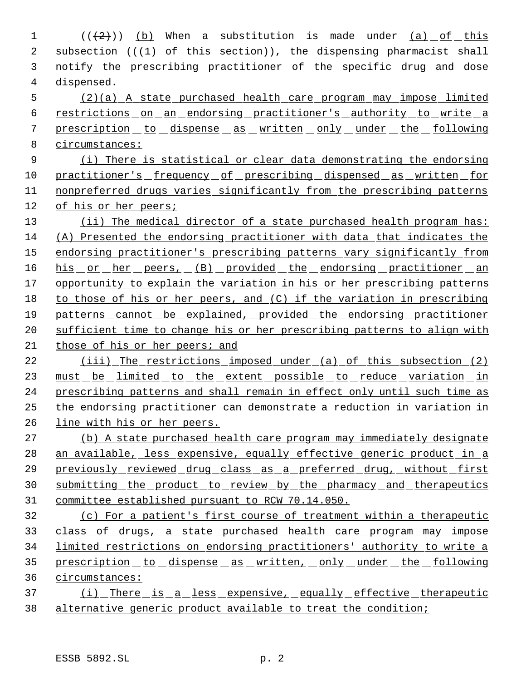$((+2))$  (b) When a substitution is made under  $(a)$  of this 2 subsection  $((1)$ -of-this-section)), the dispensing pharmacist shall notify the prescribing practitioner of the specific drug and dose dispensed.

 (2)(a) A state purchased health care program may impose limited restrictions on an endorsing practitioner's authority to write a prescription to dispense as written only under the following circumstances:

 (i) There is statistical or clear data demonstrating the endorsing 10 practitioner's frequency of prescribing dispensed as written for nonpreferred drugs varies significantly from the prescribing patterns of his or her peers;

13 (ii) The medical director of a state purchased health program has: (A) Presented the endorsing practitioner with data that indicates the 15 endorsing practitioner's prescribing patterns vary significantly from 16 his or her peers, (B) provided the endorsing practitioner an opportunity to explain the variation in his or her prescribing patterns to those of his or her peers, and (C) if the variation in prescribing patterns cannot be explained, provided the endorsing practitioner sufficient time to change his or her prescribing patterns to align with those of his or her peers; and

 (iii) The restrictions imposed under (a) of this subsection (2) 23 must be limited to the extent possible to reduce variation in prescribing patterns and shall remain in effect only until such time as the endorsing practitioner can demonstrate a reduction in variation in line with his or her peers.

 (b) A state purchased health care program may immediately designate 28 an available, less expensive, equally effective generic product in a 29 previously reviewed drug class as a preferred drug, without first 30 submitting the product to review by the pharmacy and therapeutics committee established pursuant to RCW 70.14.050.

 (c) For a patient's first course of treatment within a therapeutic 33 class of drugs, a state purchased health care program may impose limited restrictions on endorsing practitioners' authority to write a 35 prescription to dispense as written, only under the following circumstances:

37 (i) There is a less expensive, equally effective therapeutic alternative generic product available to treat the condition;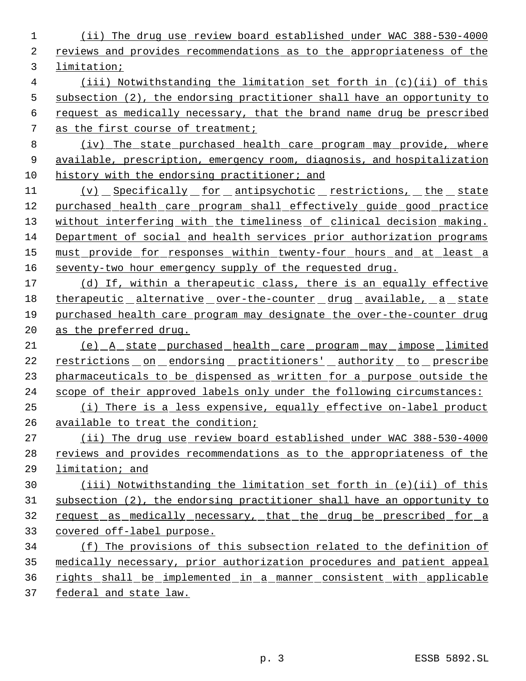(ii) The drug use review board established under WAC 388-530-4000 reviews and provides recommendations as to the appropriateness of the limitation; (iii) Notwithstanding the limitation set forth in (c)(ii) of this subsection (2), the endorsing practitioner shall have an opportunity to request as medically necessary, that the brand name drug be prescribed as the first course of treatment; (iv) The state purchased health care program may provide, where available, prescription, emergency room, diagnosis, and hospitalization 10 history with the endorsing practitioner; and 11 (v) Specifically for antipsychotic restrictions, the state purchased health care program shall effectively guide good practice 13 without interfering with the timeliness of clinical decision making. Department of social and health services prior authorization programs must provide for responses within twenty-four hours and at least a seventy-two hour emergency supply of the requested drug. 17 (d) If, within a therapeutic class, there is an equally effective 18 therapeutic alternative over-the-counter drug available, a state purchased health care program may designate the over-the-counter drug as the preferred drug. (e) A state purchased health care program may impose limited 22 restrictions on endorsing practitioners' authority to prescribe 23 pharmaceuticals to be dispensed as written for a purpose outside the scope of their approved labels only under the following circumstances: (i) There is a less expensive, equally effective on-label product available to treat the condition; (ii) The drug use review board established under WAC 388-530-4000 28 reviews and provides recommendations as to the appropriateness of the limitation; and (iii) Notwithstanding the limitation set forth in (e)(ii) of this subsection (2), the endorsing practitioner shall have an opportunity to 32 request as medically necessary, that the drug be prescribed for a covered off-label purpose. (f) The provisions of this subsection related to the definition of medically necessary, prior authorization procedures and patient appeal rights shall be implemented in a manner consistent with applicable federal and state law.